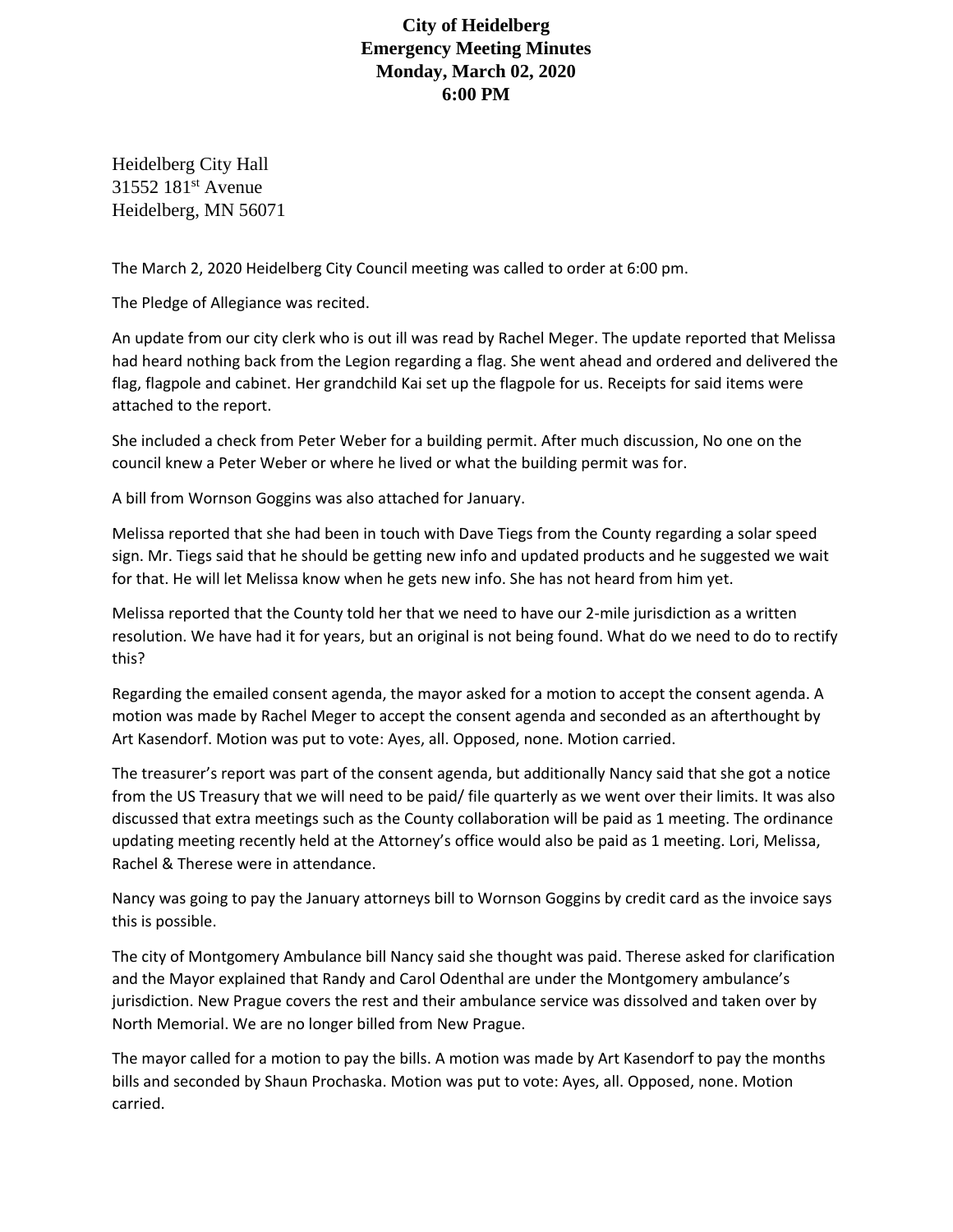## **City of Heidelberg Emergency Meeting Minutes Monday, March 02, 2020 6:00 PM**

Heidelberg City Hall 31552 181st Avenue Heidelberg, MN 56071

The March 2, 2020 Heidelberg City Council meeting was called to order at 6:00 pm.

The Pledge of Allegiance was recited.

An update from our city clerk who is out ill was read by Rachel Meger. The update reported that Melissa had heard nothing back from the Legion regarding a flag. She went ahead and ordered and delivered the flag, flagpole and cabinet. Her grandchild Kai set up the flagpole for us. Receipts for said items were attached to the report.

She included a check from Peter Weber for a building permit. After much discussion, No one on the council knew a Peter Weber or where he lived or what the building permit was for.

A bill from Wornson Goggins was also attached for January.

Melissa reported that she had been in touch with Dave Tiegs from the County regarding a solar speed sign. Mr. Tiegs said that he should be getting new info and updated products and he suggested we wait for that. He will let Melissa know when he gets new info. She has not heard from him yet.

Melissa reported that the County told her that we need to have our 2-mile jurisdiction as a written resolution. We have had it for years, but an original is not being found. What do we need to do to rectify this?

Regarding the emailed consent agenda, the mayor asked for a motion to accept the consent agenda. A motion was made by Rachel Meger to accept the consent agenda and seconded as an afterthought by Art Kasendorf. Motion was put to vote: Ayes, all. Opposed, none. Motion carried.

The treasurer's report was part of the consent agenda, but additionally Nancy said that she got a notice from the US Treasury that we will need to be paid/ file quarterly as we went over their limits. It was also discussed that extra meetings such as the County collaboration will be paid as 1 meeting. The ordinance updating meeting recently held at the Attorney's office would also be paid as 1 meeting. Lori, Melissa, Rachel & Therese were in attendance.

Nancy was going to pay the January attorneys bill to Wornson Goggins by credit card as the invoice says this is possible.

The city of Montgomery Ambulance bill Nancy said she thought was paid. Therese asked for clarification and the Mayor explained that Randy and Carol Odenthal are under the Montgomery ambulance's jurisdiction. New Prague covers the rest and their ambulance service was dissolved and taken over by North Memorial. We are no longer billed from New Prague.

The mayor called for a motion to pay the bills. A motion was made by Art Kasendorf to pay the months bills and seconded by Shaun Prochaska. Motion was put to vote: Ayes, all. Opposed, none. Motion carried.